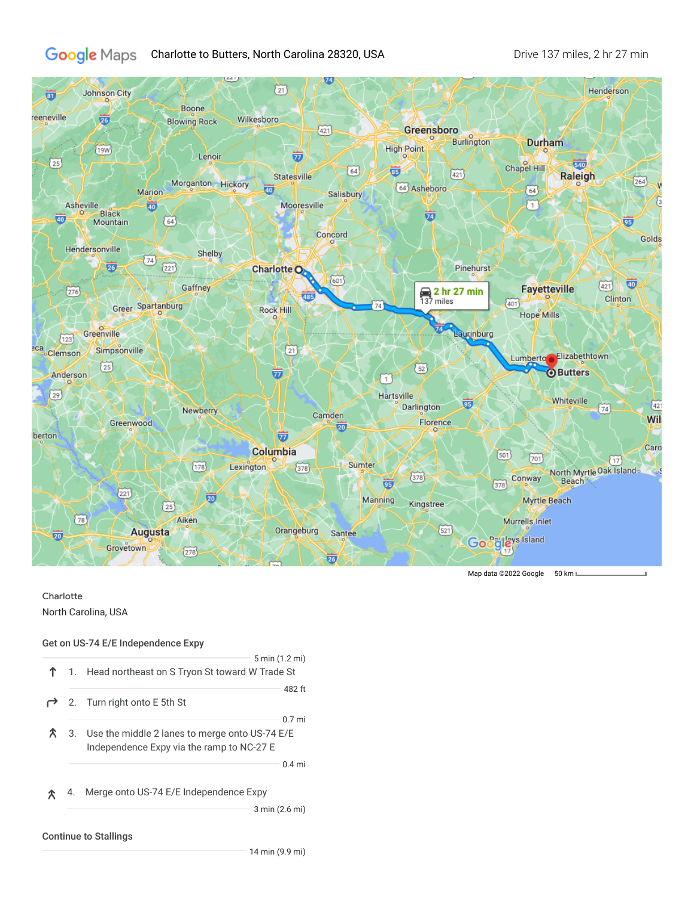## Google Maps Charlotte to Butters, North Carolina 28320, USA Drive 137 miles, 2 hr 27 min



## Charlotte

North Carolina, USA

## Get on US-74 E/E Independence Expy

|    | 5 min (1.2 mi)<br>1. Head northeast on S Tryon St toward W Trade St                                        |
|----|------------------------------------------------------------------------------------------------------------|
|    | 482 ft<br>2. Turn right onto E 5th St                                                                      |
|    | $0.7$ mi<br>3. Use the middle 2 lanes to merge onto US-74 E/E<br>Independence Expy via the ramp to NC-27 E |
|    | $0.4$ mi                                                                                                   |
| 4. | Merge onto US-74 E/E Independence Expy                                                                     |
|    | 3 min (2.6 mi)<br><b>Continue to Stallings</b>                                                             |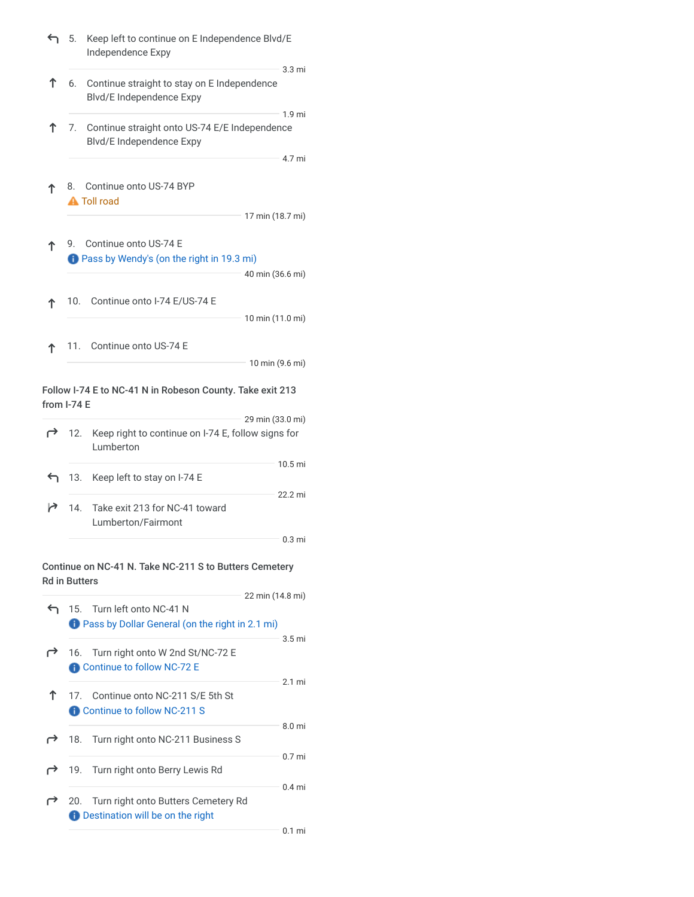| ↤ | 5.                   | Keep left to continue on E Independence Blvd/E<br>Independence Expy                             |                             |
|---|----------------------|-------------------------------------------------------------------------------------------------|-----------------------------|
| ↑ | 6.                   | Continue straight to stay on E Independence<br>Blvd/E Independence Expy                         | 3.3 <sub>mi</sub>           |
| ↑ |                      | 7. Continue straight onto US-74 E/E Independence<br>Blvd/E Independence Expy                    | 1.9 <sub>mi</sub><br>4.7 mi |
| ፐ | 8.                   | Continue onto US-74 BYP<br><b>A</b> Toll road                                                   |                             |
|   |                      | 17 min (18.7 mi)                                                                                |                             |
| ↑ | 9.                   | Continue onto US-74 E<br><b>D</b> Pass by Wendy's (on the right in 19.3 mi)<br>40 min (36.6 mi) |                             |
| ፐ |                      | 10. Continue onto I-74 E/US-74 E                                                                |                             |
|   |                      | 10 min (11.0 mi)                                                                                |                             |
| ↑ |                      | 11. Continue onto US-74 E<br>10 min (9.6 mi)                                                    |                             |
|   |                      |                                                                                                 |                             |
|   | from I-74 E          | Follow I-74 E to NC-41 N in Robeson County. Take exit 213                                       |                             |
| ← | 12.                  | 29 min (33.0 mi)<br>Keep right to continue on I-74 E, follow signs for<br>Lumberton             |                             |
|   |                      | 10.5 mi                                                                                         |                             |
|   | 13.                  | Keep left to stay on I-74 E<br>22.2 mi                                                          |                             |
| ↗ | 14.                  | Take exit 213 for NC-41 toward<br>Lumberton/Fairmont                                            |                             |
|   |                      |                                                                                                 | 0.3 mi                      |
|   | <b>Rd in Butters</b> | Continue on NC-41 N. Take NC-211 S to Butters Cemetery                                          |                             |
|   |                      | 22 min (14.8 mi)                                                                                |                             |
| ↰ |                      | 15. Turn left onto NC-41 N<br><b>D</b> Pass by Dollar General (on the right in 2.1 mi)          |                             |
| r | 16.                  | Turn right onto W 2nd St/NC-72 E<br>Continue to follow NC-72 E                                  | 3.5 mi                      |
| Υ |                      | 17. Continue onto NC-211 S/E 5th St                                                             | 2.1 mi                      |

Continue to follow NC-211 S 8.0 mi 18. Turn right onto NC-211 Business S 0.7 mi 19. Turn right onto Berry Lewis Rd 0.4 mi 20. Turn right onto Butters Cemetery Rd  $\mapsto$ **D** Destination will be on the right